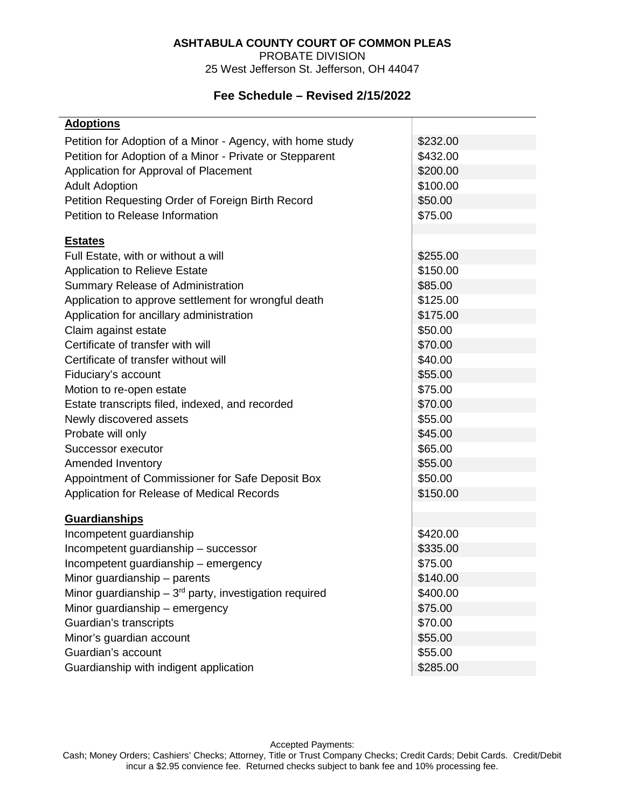## **ASHTABULA COUNTY COURT OF COMMON PLEAS**

PROBATE DIVISION

25 West Jefferson St. Jefferson, OH 44047

## **Fee Schedule – Revised 2/15/2022**

| <b>Adoptions</b>                                           |          |
|------------------------------------------------------------|----------|
| Petition for Adoption of a Minor - Agency, with home study | \$232.00 |
| Petition for Adoption of a Minor - Private or Stepparent   | \$432.00 |
| Application for Approval of Placement                      | \$200.00 |
| <b>Adult Adoption</b>                                      | \$100.00 |
| Petition Requesting Order of Foreign Birth Record          | \$50.00  |
| Petition to Release Information                            | \$75.00  |
|                                                            |          |
| <b>Estates</b>                                             |          |
| Full Estate, with or without a will                        | \$255.00 |
| <b>Application to Relieve Estate</b>                       | \$150.00 |
| Summary Release of Administration                          | \$85.00  |
| Application to approve settlement for wrongful death       | \$125.00 |
| Application for ancillary administration                   | \$175.00 |
| Claim against estate                                       | \$50.00  |
| Certificate of transfer with will                          | \$70.00  |
| Certificate of transfer without will                       | \$40.00  |
| Fiduciary's account                                        | \$55.00  |
| Motion to re-open estate                                   | \$75.00  |
| Estate transcripts filed, indexed, and recorded            | \$70.00  |
| Newly discovered assets                                    | \$55.00  |
| Probate will only                                          | \$45.00  |
| Successor executor                                         | \$65.00  |
| Amended Inventory                                          | \$55.00  |
| Appointment of Commissioner for Safe Deposit Box           | \$50.00  |
| Application for Release of Medical Records                 | \$150.00 |
| <b>Guardianships</b>                                       |          |
| Incompetent guardianship                                   | \$420.00 |
| Incompetent guardianship - successor                       | \$335.00 |
| Incompetent guardianship - emergency                       | \$75.00  |
| Minor guardianship – parents                               | \$140.00 |
| Minor guardianship $-3^{rd}$ party, investigation required | \$400.00 |
| Minor guardianship - emergency                             | \$75.00  |
| Guardian's transcripts                                     | \$70.00  |
| Minor's guardian account                                   | \$55.00  |
| Guardian's account                                         | \$55.00  |
| Guardianship with indigent application                     | \$285.00 |